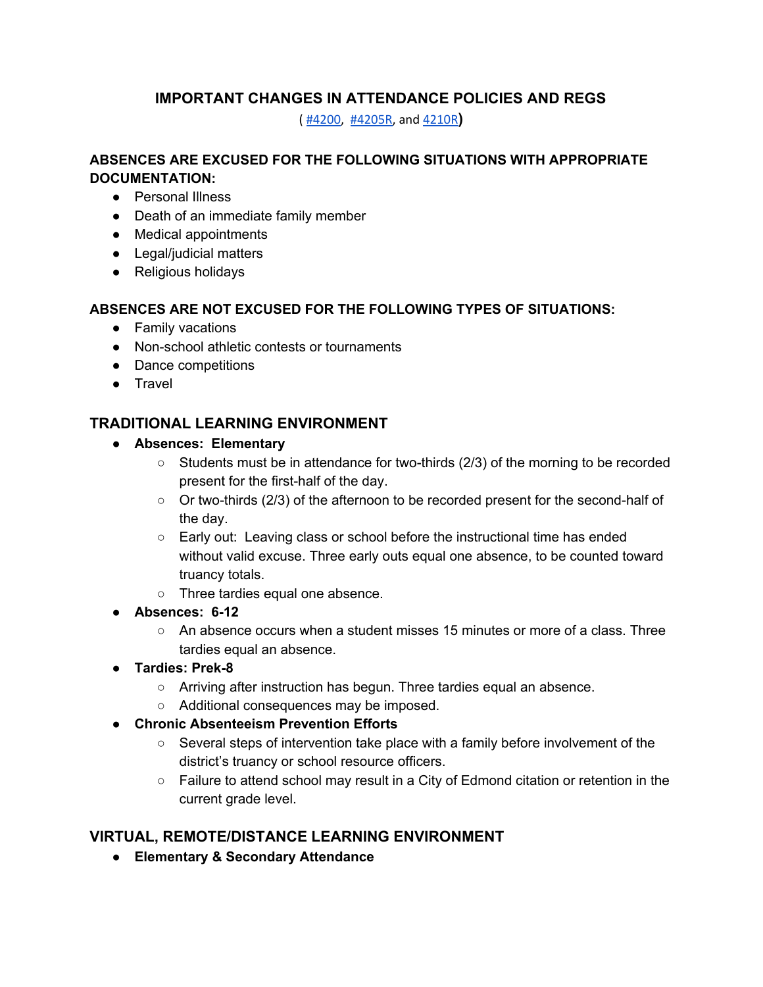## **IMPORTANT CHANGES IN ATTENDANCE POLICIES AND REGS**

( [#4200,](https://edmondschools.net/wp-content/uploads/2020/07/Policy-4200-Attendance-Policies-4200s.pdf) [#4205R](https://edmondschools.net/wp-content/uploads/2020/07/Regulation-4205R-Attendance-Policy-Grades-PK-8-Revised-07-06-20.pdf), and [4210R](https://edmondschools.net/wp-content/uploads/2020/08/Regulation-4210R-Attendance-Policy-Grades-9-12Revised-07-06-20-NEW-VERSION-1.pdf)**)**

#### **ABSENCES ARE EXCUSED FOR THE FOLLOWING SITUATIONS WITH APPROPRIATE DOCUMENTATION:**

- Personal Illness
- Death of an immediate family member
- Medical appointments
- Legal/judicial matters
- Religious holidays

#### **ABSENCES ARE NOT EXCUSED FOR THE FOLLOWING TYPES OF SITUATIONS:**

- Family vacations
- Non-school athletic contests or tournaments
- Dance competitions
- Travel

### **TRADITIONAL LEARNING ENVIRONMENT**

- **● Absences: Elementary**
	- $\circ$  Students must be in attendance for two-thirds (2/3) of the morning to be recorded present for the first-half of the day.
	- Or two-thirds (2/3) of the afternoon to be recorded present for the second-half of the day.
	- Early out: Leaving class or school before the instructional time has ended without valid excuse. Three early outs equal one absence, to be counted toward truancy totals.
	- Three tardies equal one absence.
- **● Absences: 6-12**
	- $\circ$  An absence occurs when a student misses 15 minutes or more of a class. Three tardies equal an absence.
- **● Tardies: Prek-8**
	- Arriving after instruction has begun. Three tardies equal an absence.
	- Additional consequences may be imposed.
- **● Chronic Absenteeism Prevention Efforts**
	- $\circ$  Several steps of intervention take place with a family before involvement of the district's truancy or school resource officers.
	- Failure to attend school may result in a City of Edmond citation or retention in the current grade level.

# **VIRTUAL, REMOTE/DISTANCE LEARNING ENVIRONMENT**

**● Elementary & Secondary Attendance**